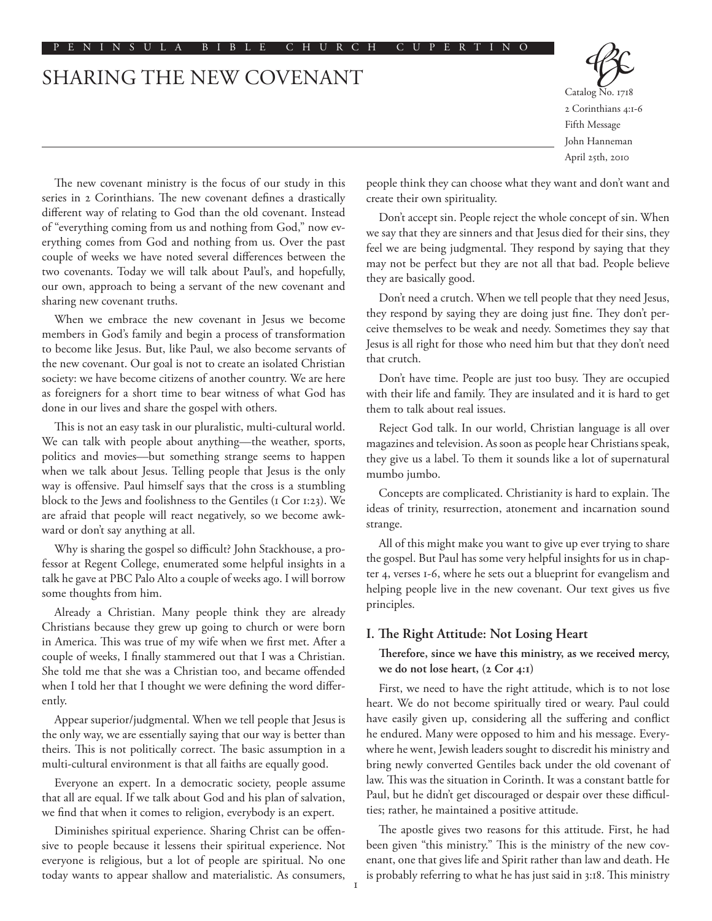# SHARING THE NEW COVENANT



Catalog No. 1718 2 Corinthians 4:1-6 Fifth Message John Hanneman April 25th, 2010

The new covenant ministry is the focus of our study in this series in 2 Corinthians. The new covenant defines a drastically different way of relating to God than the old covenant. Instead of "everything coming from us and nothing from God," now everything comes from God and nothing from us. Over the past couple of weeks we have noted several differences between the two covenants. Today we will talk about Paul's, and hopefully, our own, approach to being a servant of the new covenant and sharing new covenant truths.

When we embrace the new covenant in Jesus we become members in God's family and begin a process of transformation to become like Jesus. But, like Paul, we also become servants of the new covenant. Our goal is not to create an isolated Christian society: we have become citizens of another country. We are here as foreigners for a short time to bear witness of what God has done in our lives and share the gospel with others.

This is not an easy task in our pluralistic, multi-cultural world. We can talk with people about anything—the weather, sports, politics and movies––but something strange seems to happen when we talk about Jesus. Telling people that Jesus is the only way is offensive. Paul himself says that the cross is a stumbling block to the Jews and foolishness to the Gentiles (1 Cor 1:23). We are afraid that people will react negatively, so we become awkward or don't say anything at all.

Why is sharing the gospel so difficult? John Stackhouse, a professor at Regent College, enumerated some helpful insights in a talk he gave at PBC Palo Alto a couple of weeks ago. I will borrow some thoughts from him.

Already a Christian. Many people think they are already Christians because they grew up going to church or were born in America. This was true of my wife when we first met. After a couple of weeks, I finally stammered out that I was a Christian. She told me that she was a Christian too, and became offended when I told her that I thought we were defining the word differently.

Appear superior/judgmental. When we tell people that Jesus is the only way, we are essentially saying that our way is better than theirs. This is not politically correct. The basic assumption in a multi-cultural environment is that all faiths are equally good.

Everyone an expert. In a democratic society, people assume that all are equal. If we talk about God and his plan of salvation, we find that when it comes to religion, everybody is an expert.

Diminishes spiritual experience. Sharing Christ can be offensive to people because it lessens their spiritual experience. Not everyone is religious, but a lot of people are spiritual. No one today wants to appear shallow and materialistic. As consumers,

people think they can choose what they want and don't want and create their own spirituality.

Don't accept sin. People reject the whole concept of sin. When we say that they are sinners and that Jesus died for their sins, they feel we are being judgmental. They respond by saying that they may not be perfect but they are not all that bad. People believe they are basically good.

Don't need a crutch. When we tell people that they need Jesus, they respond by saying they are doing just fine. They don't perceive themselves to be weak and needy. Sometimes they say that Jesus is all right for those who need him but that they don't need that crutch.

Don't have time. People are just too busy. They are occupied with their life and family. They are insulated and it is hard to get them to talk about real issues.

Reject God talk. In our world, Christian language is all over magazines and television. As soon as people hear Christians speak, they give us a label. To them it sounds like a lot of supernatural mumbo jumbo.

Concepts are complicated. Christianity is hard to explain. The ideas of trinity, resurrection, atonement and incarnation sound strange.

All of this might make you want to give up ever trying to share the gospel. But Paul has some very helpful insights for us in chapter 4, verses 1-6, where he sets out a blueprint for evangelism and helping people live in the new covenant. Our text gives us five principles.

### **I. The Right Attitude: Not Losing Heart**

**Therefore, since we have this ministry, as we received mercy, we do not lose heart, (2 Cor 4:1)**

First, we need to have the right attitude, which is to not lose heart. We do not become spiritually tired or weary. Paul could have easily given up, considering all the suffering and conflict he endured. Many were opposed to him and his message. Everywhere he went, Jewish leaders sought to discredit his ministry and bring newly converted Gentiles back under the old covenant of law. This was the situation in Corinth. It was a constant battle for Paul, but he didn't get discouraged or despair over these difficulties; rather, he maintained a positive attitude.

The apostle gives two reasons for this attitude. First, he had been given "this ministry." This is the ministry of the new covenant, one that gives life and Spirit rather than law and death. He is probably referring to what he has just said in 3:18. This ministry

 $\mathbf{I}$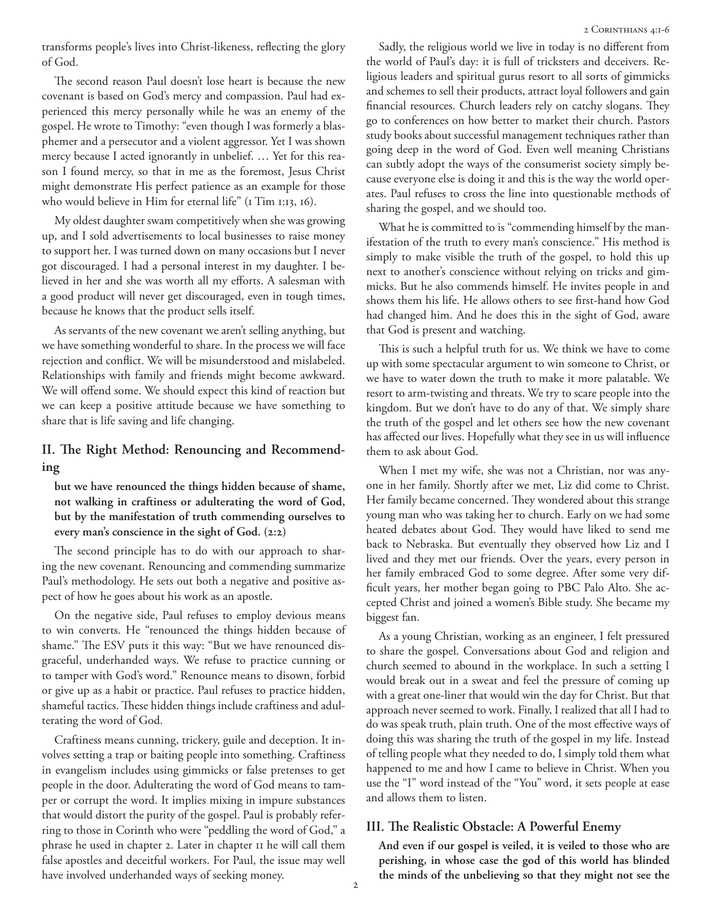transforms people's lives into Christ-likeness, reflecting the glory of God.

The second reason Paul doesn't lose heart is because the new covenant is based on God's mercy and compassion. Paul had experienced this mercy personally while he was an enemy of the gospel. He wrote to Timothy: "even though I was formerly a blasphemer and a persecutor and a violent aggressor. Yet I was shown mercy because I acted ignorantly in unbelief. … Yet for this reason I found mercy, so that in me as the foremost, Jesus Christ might demonstrate His perfect patience as an example for those who would believe in Him for eternal life" (1 Tim 1:13, 16).

My oldest daughter swam competitively when she was growing up, and I sold advertisements to local businesses to raise money to support her. I was turned down on many occasions but I never got discouraged. I had a personal interest in my daughter. I believed in her and she was worth all my efforts. A salesman with a good product will never get discouraged, even in tough times, because he knows that the product sells itself.

As servants of the new covenant we aren't selling anything, but we have something wonderful to share. In the process we will face rejection and conflict. We will be misunderstood and mislabeled. Relationships with family and friends might become awkward. We will offend some. We should expect this kind of reaction but we can keep a positive attitude because we have something to share that is life saving and life changing.

# **II. The Right Method: Renouncing and Recommending**

**but we have renounced the things hidden because of shame, not walking in craftiness or adulterating the word of God, but by the manifestation of truth commending ourselves to every man's conscience in the sight of God. (2:2)**

The second principle has to do with our approach to sharing the new covenant. Renouncing and commending summarize Paul's methodology. He sets out both a negative and positive aspect of how he goes about his work as an apostle.

On the negative side, Paul refuses to employ devious means to win converts. He "renounced the things hidden because of shame." The ESV puts it this way: "But we have renounced disgraceful, underhanded ways. We refuse to practice cunning or to tamper with God's word." Renounce means to disown, forbid or give up as a habit or practice. Paul refuses to practice hidden, shameful tactics. These hidden things include craftiness and adulterating the word of God.

Craftiness means cunning, trickery, guile and deception. It involves setting a trap or baiting people into something. Craftiness in evangelism includes using gimmicks or false pretenses to get people in the door. Adulterating the word of God means to tamper or corrupt the word. It implies mixing in impure substances that would distort the purity of the gospel. Paul is probably referring to those in Corinth who were "peddling the word of God," a phrase he used in chapter 2. Later in chapter 11 he will call them false apostles and deceitful workers. For Paul, the issue may well have involved underhanded ways of seeking money.

Sadly, the religious world we live in today is no different from the world of Paul's day: it is full of tricksters and deceivers. Religious leaders and spiritual gurus resort to all sorts of gimmicks and schemes to sell their products, attract loyal followers and gain financial resources. Church leaders rely on catchy slogans. They go to conferences on how better to market their church. Pastors study books about successful management techniques rather than going deep in the word of God. Even well meaning Christians can subtly adopt the ways of the consumerist society simply because everyone else is doing it and this is the way the world operates. Paul refuses to cross the line into questionable methods of sharing the gospel, and we should too.

What he is committed to is "commending himself by the manifestation of the truth to every man's conscience." His method is simply to make visible the truth of the gospel, to hold this up next to another's conscience without relying on tricks and gimmicks. But he also commends himself. He invites people in and shows them his life. He allows others to see first-hand how God had changed him. And he does this in the sight of God, aware that God is present and watching.

This is such a helpful truth for us. We think we have to come up with some spectacular argument to win someone to Christ, or we have to water down the truth to make it more palatable. We resort to arm-twisting and threats. We try to scare people into the kingdom. But we don't have to do any of that. We simply share the truth of the gospel and let others see how the new covenant has affected our lives. Hopefully what they see in us will influence them to ask about God.

When I met my wife, she was not a Christian, nor was anyone in her family. Shortly after we met, Liz did come to Christ. Her family became concerned. They wondered about this strange young man who was taking her to church. Early on we had some heated debates about God. They would have liked to send me back to Nebraska. But eventually they observed how Liz and I lived and they met our friends. Over the years, every person in her family embraced God to some degree. After some very difficult years, her mother began going to PBC Palo Alto. She accepted Christ and joined a women's Bible study. She became my biggest fan.

As a young Christian, working as an engineer, I felt pressured to share the gospel. Conversations about God and religion and church seemed to abound in the workplace. In such a setting I would break out in a sweat and feel the pressure of coming up with a great one-liner that would win the day for Christ. But that approach never seemed to work. Finally, I realized that all I had to do was speak truth, plain truth. One of the most effective ways of doing this was sharing the truth of the gospel in my life. Instead of telling people what they needed to do, I simply told them what happened to me and how I came to believe in Christ. When you use the "I" word instead of the "You" word, it sets people at ease and allows them to listen.

## **III. The Realistic Obstacle: A Powerful Enemy**

**And even if our gospel is veiled, it is veiled to those who are perishing, in whose case the god of this world has blinded the minds of the unbelieving so that they might not see the**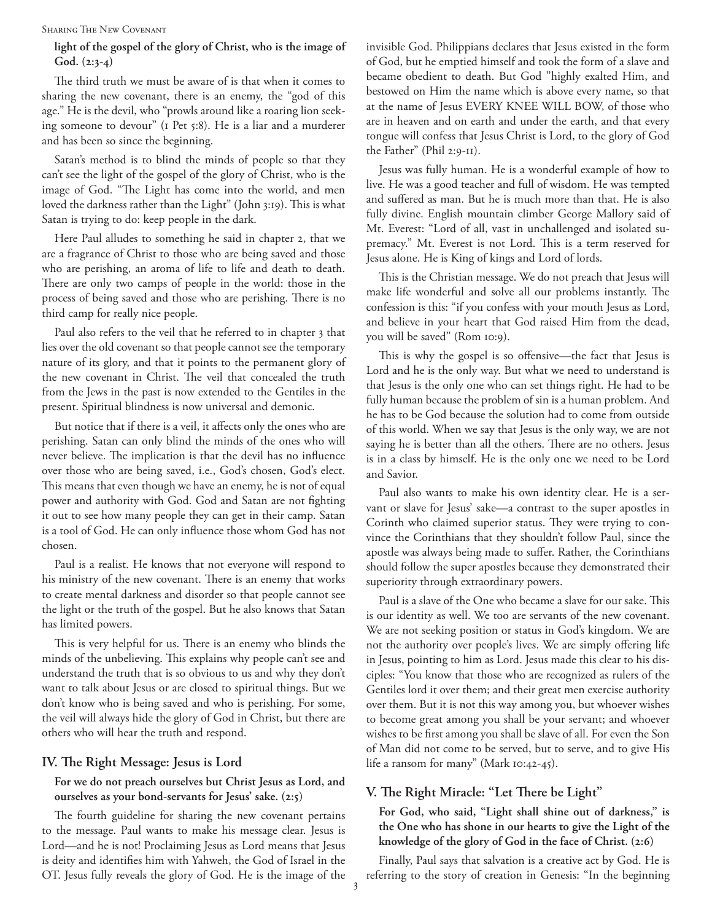#### Sharing The New Covenant

# **light of the gospel of the glory of Christ, who is the image of God. (2:3-4)**

The third truth we must be aware of is that when it comes to sharing the new covenant, there is an enemy, the "god of this age." He is the devil, who "prowls around like a roaring lion seeking someone to devour" (1 Pet 5:8). He is a liar and a murderer and has been so since the beginning.

Satan's method is to blind the minds of people so that they can't see the light of the gospel of the glory of Christ, who is the image of God. "The Light has come into the world, and men loved the darkness rather than the Light" (John 3:19). This is what Satan is trying to do: keep people in the dark.

Here Paul alludes to something he said in chapter 2, that we are a fragrance of Christ to those who are being saved and those who are perishing, an aroma of life to life and death to death. There are only two camps of people in the world: those in the process of being saved and those who are perishing. There is no third camp for really nice people.

Paul also refers to the veil that he referred to in chapter 3 that lies over the old covenant so that people cannot see the temporary nature of its glory, and that it points to the permanent glory of the new covenant in Christ. The veil that concealed the truth from the Jews in the past is now extended to the Gentiles in the present. Spiritual blindness is now universal and demonic.

But notice that if there is a veil, it affects only the ones who are perishing. Satan can only blind the minds of the ones who will never believe. The implication is that the devil has no influence over those who are being saved, i.e., God's chosen, God's elect. This means that even though we have an enemy, he is not of equal power and authority with God. God and Satan are not fighting it out to see how many people they can get in their camp. Satan is a tool of God. He can only influence those whom God has not chosen.

Paul is a realist. He knows that not everyone will respond to his ministry of the new covenant. There is an enemy that works to create mental darkness and disorder so that people cannot see the light or the truth of the gospel. But he also knows that Satan has limited powers.

This is very helpful for us. There is an enemy who blinds the minds of the unbelieving. This explains why people can't see and understand the truth that is so obvious to us and why they don't want to talk about Jesus or are closed to spiritual things. But we don't know who is being saved and who is perishing. For some, the veil will always hide the glory of God in Christ, but there are others who will hear the truth and respond.

## **IV. The Right Message: Jesus is Lord**

## **For we do not preach ourselves but Christ Jesus as Lord, and ourselves as your bond-servants for Jesus' sake. (2:5)**

The fourth guideline for sharing the new covenant pertains to the message. Paul wants to make his message clear. Jesus is Lord––and he is not! Proclaiming Jesus as Lord means that Jesus is deity and identifies him with Yahweh, the God of Israel in the OT. Jesus fully reveals the glory of God. He is the image of the invisible God. Philippians declares that Jesus existed in the form of God, but he emptied himself and took the form of a slave and became obedient to death. But God "highly exalted Him, and bestowed on Him the name which is above every name, so that at the name of Jesus EVERY KNEE WILL BOW, of those who are in heaven and on earth and under the earth, and that every tongue will confess that Jesus Christ is Lord, to the glory of God the Father" (Phil 2:9-11).

Jesus was fully human. He is a wonderful example of how to live. He was a good teacher and full of wisdom. He was tempted and suffered as man. But he is much more than that. He is also fully divine. English mountain climber George Mallory said of Mt. Everest: "Lord of all, vast in unchallenged and isolated supremacy." Mt. Everest is not Lord. This is a term reserved for Jesus alone. He is King of kings and Lord of lords.

This is the Christian message. We do not preach that Jesus will make life wonderful and solve all our problems instantly. The confession is this: "if you confess with your mouth Jesus as Lord, and believe in your heart that God raised Him from the dead, you will be saved" (Rom 10:9).

This is why the gospel is so offensive––the fact that Jesus is Lord and he is the only way. But what we need to understand is that Jesus is the only one who can set things right. He had to be fully human because the problem of sin is a human problem. And he has to be God because the solution had to come from outside of this world. When we say that Jesus is the only way, we are not saying he is better than all the others. There are no others. Jesus is in a class by himself. He is the only one we need to be Lord and Savior.

Paul also wants to make his own identity clear. He is a servant or slave for Jesus' sake––a contrast to the super apostles in Corinth who claimed superior status. They were trying to convince the Corinthians that they shouldn't follow Paul, since the apostle was always being made to suffer. Rather, the Corinthians should follow the super apostles because they demonstrated their superiority through extraordinary powers.

Paul is a slave of the One who became a slave for our sake. This is our identity as well. We too are servants of the new covenant. We are not seeking position or status in God's kingdom. We are not the authority over people's lives. We are simply offering life in Jesus, pointing to him as Lord. Jesus made this clear to his disciples: "You know that those who are recognized as rulers of the Gentiles lord it over them; and their great men exercise authority over them. But it is not this way among you, but whoever wishes to become great among you shall be your servant; and whoever wishes to be first among you shall be slave of all. For even the Son of Man did not come to be served, but to serve, and to give His life a ransom for many" (Mark 10:42-45).

# **V. The Right Miracle: "Let There be Light"**

**For God, who said, "Light shall shine out of darkness," is the One who has shone in our hearts to give the Light of the knowledge of the glory of God in the face of Christ. (2:6)**

Finally, Paul says that salvation is a creative act by God. He is referring to the story of creation in Genesis: "In the beginning